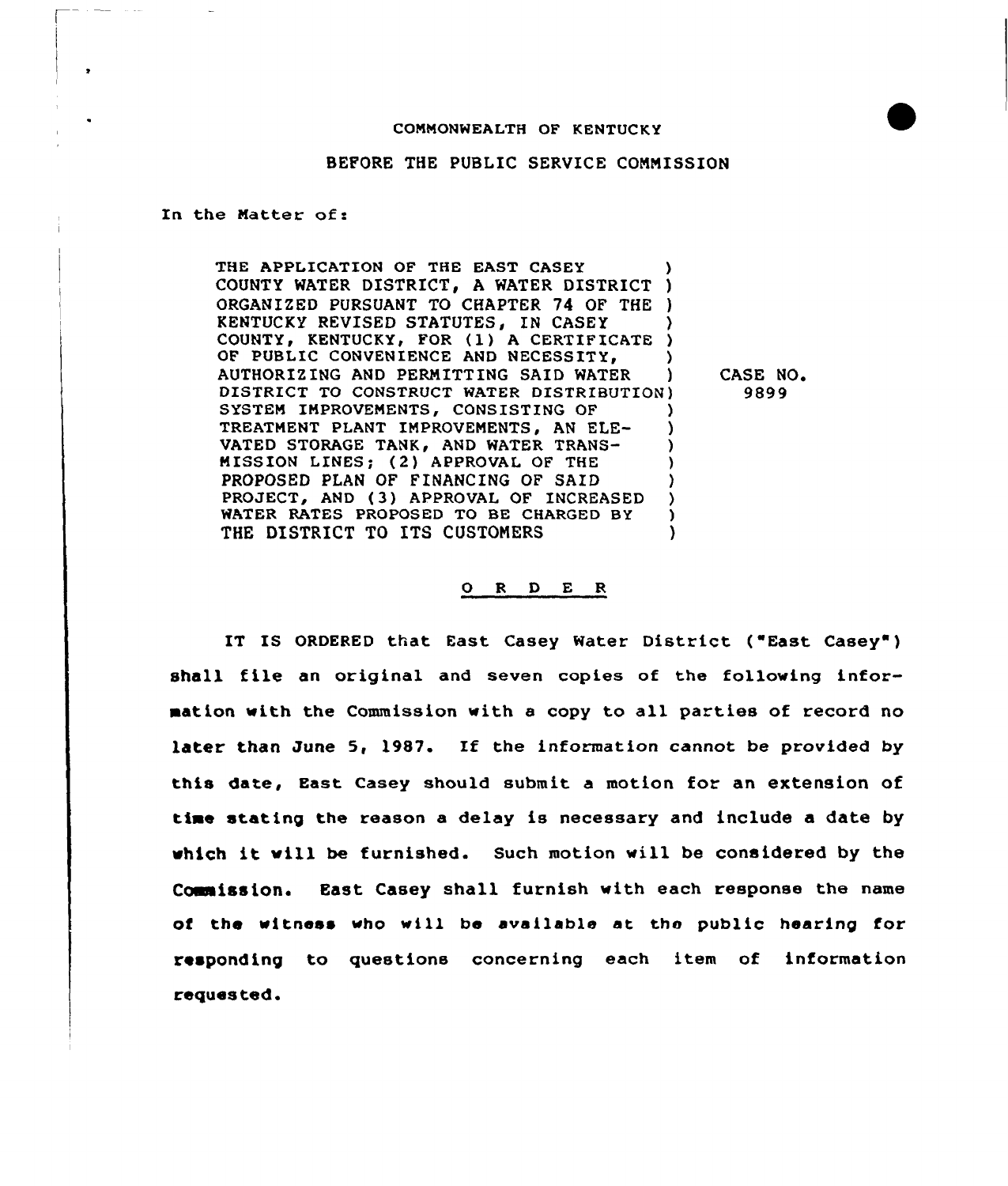## COMMONWEALTH OF KENTUCKY



## BEFORE THE PUBLIC SERVICE COMMISSION

In the Matter of:

THE APPLICATION OF THE EAST CASEY COUNTY WATER DISTRICT, A WATER DISTRICT ) ORGANIZED PURSUANT TO CHAPTER 74 OF THE ) KENTUCKY REVISED STATUTES, IN CASEY COUNTY, KENTUCKY, FOR (1) A CERTIFICATE )<br>OF PUBLIC CONVENIENCE AND NECESSITY. OF PUBLIC CONVENIENCE AND NECESSITY, (a)<br>AUTHORIZING AND PERMITTING SAID WATER (b) AUTHORIZING AND PERMITTING SAID WATER DISTRICT TO CONSTRUCT WATER DISTRIBUTION) SYSTEM IMPROVEMENTS, CONSISTING OF TREATMENT PLANT IMPROVEMENTS, AN ELE-VATED STORAGE TANK, AND WATER TRANS-MISSION LINES; (2) APPROVAL OF THE ) PROPOSED PLAN OF FINANCING OF SAID PROJECT, AND (3) APPROVAL OF INCREASED WATER RATES PROPOSED TO BE CHARGED BY THE DISTRICT TO ITS CUSTOMERS

CASE NO, 9899

## 0 R <sup>D</sup> E R

IT IS ORDERED that East Casey Water District ("East Casey") shall file an original and seven copies of the following information with the Commission with <sup>a</sup> copy to all parties of record no later than June 5, l987. If the information cannot be provided by this date, East casey should submit a motion for an extension of time stating the reason a delay is necessary and include a date by which it will be furnished. Such motion will be considered by the Coeaission. East Casey shall furnish with each response the name of the witness who will be available at the public hearing for responding to questions concerning each item of information reques ted.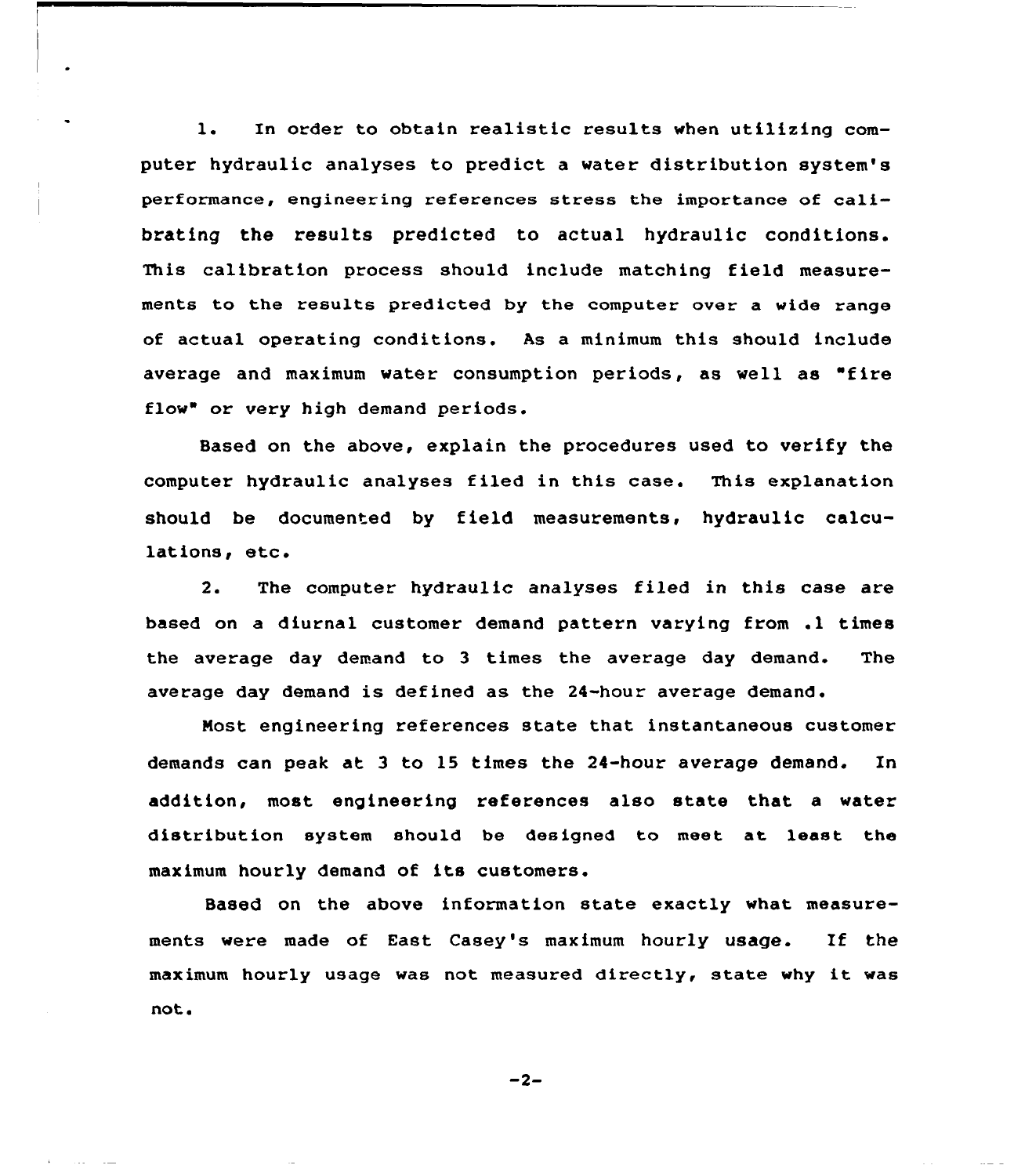l. In order to obtain realistic results when utilizing computer hydraulic analyses to predict a water distribution system's performance, engineering references stress the importance of calibrating the results predicted to actual hydraulic conditions. This calibration process should include matching field measurements to the results predicted by the computer over a wide range of actual operating conditions. As a minimum this should include average and maximum water consumption periods, as well as "fire flow" or very high demand periods.

Based on the above, explain the procedures used to verify the computer hydraulic analyses filed in this case. This explanation should be documented by field measurements, hydraulic calculations, etc.

The computer hydraulic analyses filed in this case are  $2.$ based on <sup>a</sup> diurnal customer demand pattern varying from .1 times the average day demand to 3 times the average day demand. The average day demand is defined as the 24-hour average demand.

Nost engineering references state that instantaneous customer demands can peak at 3 to 15 times the 24-hour average demand. In addition, most engineering references also state that a water distribution system should be designed to meet at least the maximum hourly demand of its customers.

Based on the above information state exactly what measurements were made of East Casey's maximum hourly usage. If the maximum hourly usage was not measured directly, state why it was not.

$$
-2-
$$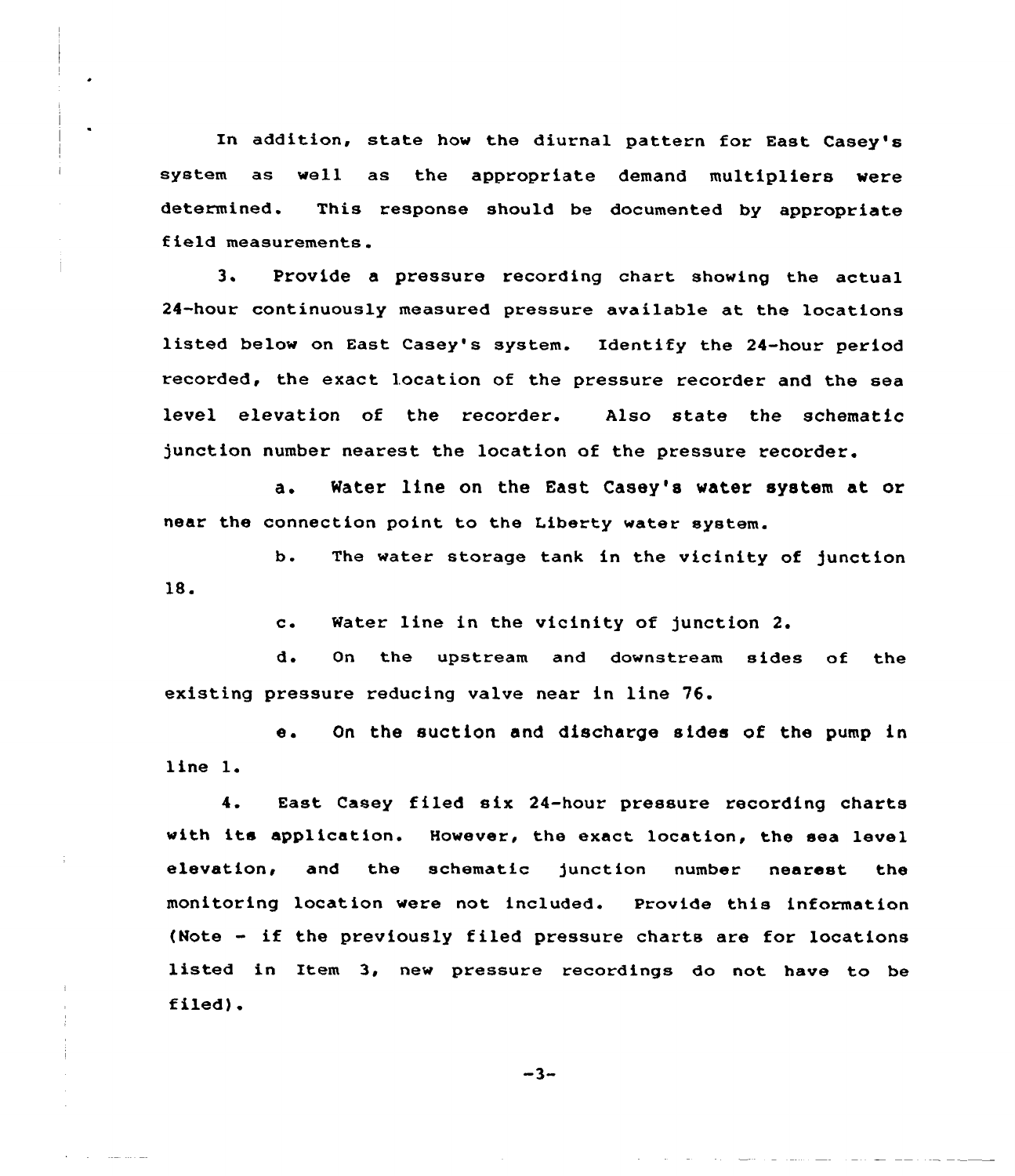In addition, state how the diurnal pattern for East Casey's system as well as the appropriate demand multipliers were determined. This response should be documented by appropriate field measurements.

3. Provide a pressure recording chart showing the actual 24-hour continuously measured pressure available at the locations listed below on East Casey's system. Identify the 24-hour period recorded, the exact location of the pressure recorder and the sea level elevation of the recorder. Also state the schematic junction number nearest the location of the pressure recorder.

a. Water line on the East Casey's water system at or near the connection point to the Liberty water system.

b. The water storage tank in the vicinity of junction 18.

c. Water line in the vicinity of junction 2.

d. On the upstream and downstream sides of the existing pressure reducing valve near in line 76.

e. On the suction and discharge sides of the pump in line l.

4. East Casey filed six 24-hour pressure recording charts with its application. However, the exact location, the sea level elevation< and the schematic junction number nearest the monitoring location were not included. Provide this information (Note - if the previously filed pressure charts are for locations listed in Item 3, new pressure recordings do not have to be filed).

 $-3-$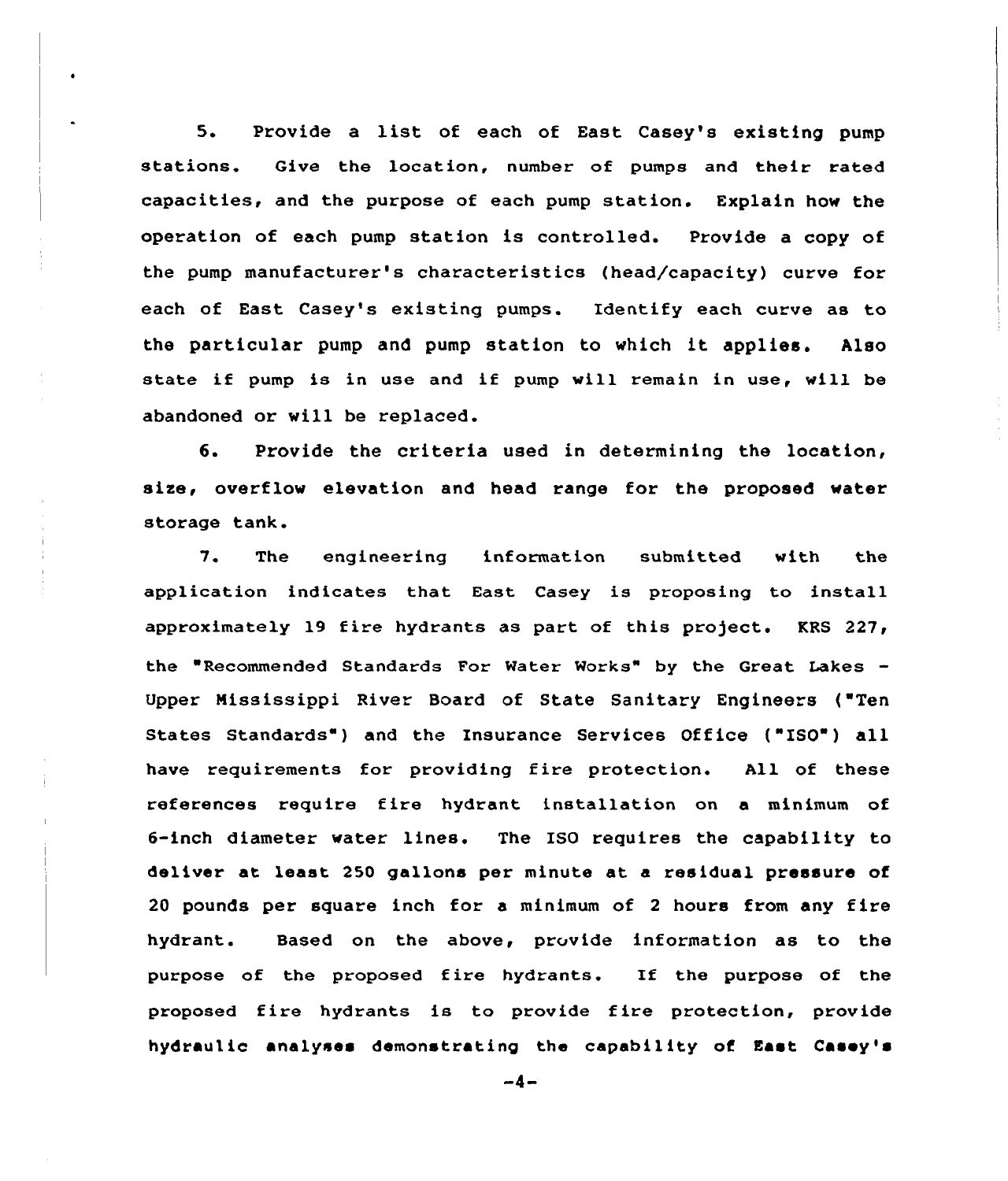5. Provide <sup>a</sup> list of each of East Casey's existing pump stations. Give the location, number of pumps and their rated capacities, and the purpose of each pump station. Explain how the operation of each pump station is controlled. Provide a copy of the pump manufacturer's characteristics (head/capacity) curve for each of East Casey's existing pumps. Identify each curve as to the particular pump and pump station to which it applies. Also state if pump is in use and if pump will remain in use, will be abandoned or will be replaced.

6. Provide the criteria used in determining the location, size, overflow elevation and head range for the proposed water storage tank.

7. The engineering information submitted with the application indicates that East Casey is proposing to install approximately 19 fire hydrants as part of this project. KRS  $227$ , the "Recommended Standards For Water Works" by the Great Lakes  $-$ Upper Mississippi River Board of State Sanitary Engineers ('Ten States Standards") and the Insurance Services Office ("ISO") all have requirements for providing fire protection. All of these references require fire hydrant installation on a minimum of 6-inch diameter water lines. The ISO requires the capability to deliver at least 250 gallons per minute at a residual pressure of 20 pounds per square inch for a minimum of <sup>2</sup> hours from any fire hydrant. Based on the above, provide information as to the purpose of the proposed fire hydrants. If the purpose of the proposed fire hydrants is to provide fire protection, provide hydraulic analyses demonstrating the capability of East Casey's

 $-4-$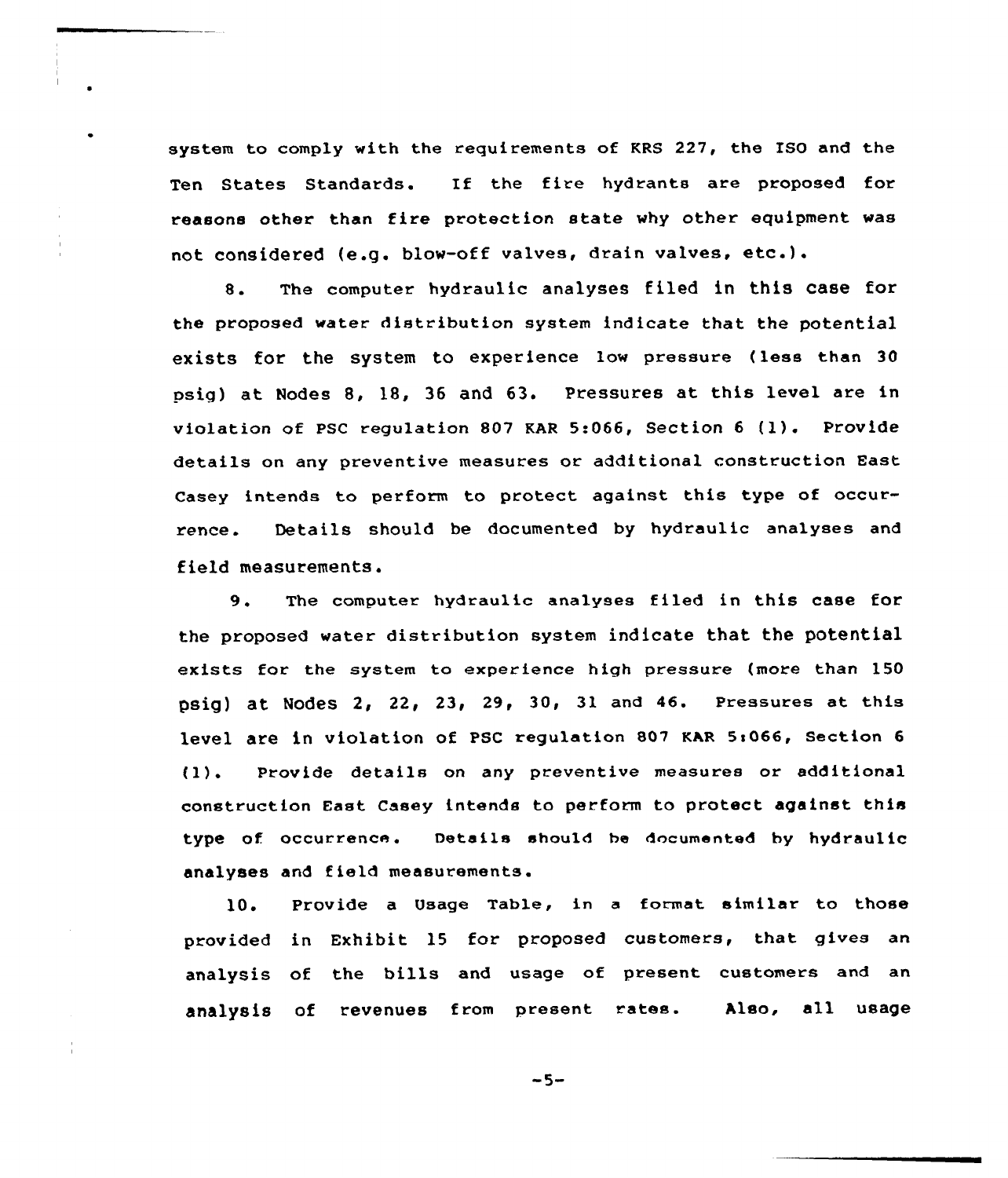system to comply with the requirements of KRS 227, the ISO and the Ten States Standards. If the fire hydrants are proposed for reasons other than fire protection state why other equipment was not considered (e.g. blow-off valves, drain valves, etc.).

8. The computer hydraulic analyses filed in this case for the proposed water distribution system indicate that the potential exists for the system to experience Iow pressure (less than 30 psig) at Nodes 8, 18, 36 and 63. Pressures at this level are in violation of PSC regulation <sup>807</sup> KAR 5:066, Section <sup>6</sup> (1). Provide details on any preventive measures or additional construction East Casey intends to perform to protect against this type of occurrence. Details should be documented by hydraulic analyses and fieId measurements.

9. The computer hydraulic analyses filed in this case for the proposed water distribution system indicate that the potential exists for the system to experience high pressure (more than 150 psig) at Nodes 2, 22, 23, 29, 30, 31 and 46. Pressures at this level are in violation of PSC regulation 807 KAR 5:066, Section 6 (1). Provide details on any preventive measures or additional construction East Casey intends to perform to protect against this type of occurrence. Details should be documented by hydraulic analyses and f ield measurements.

10. Provide a Usage Table, in a format similar to those provided in Exhibit 15 for proposed customers, that gives an analysis of the bills and usage of present customers and an analysis of revenues from present rates. Also, all usage

 $-5-$